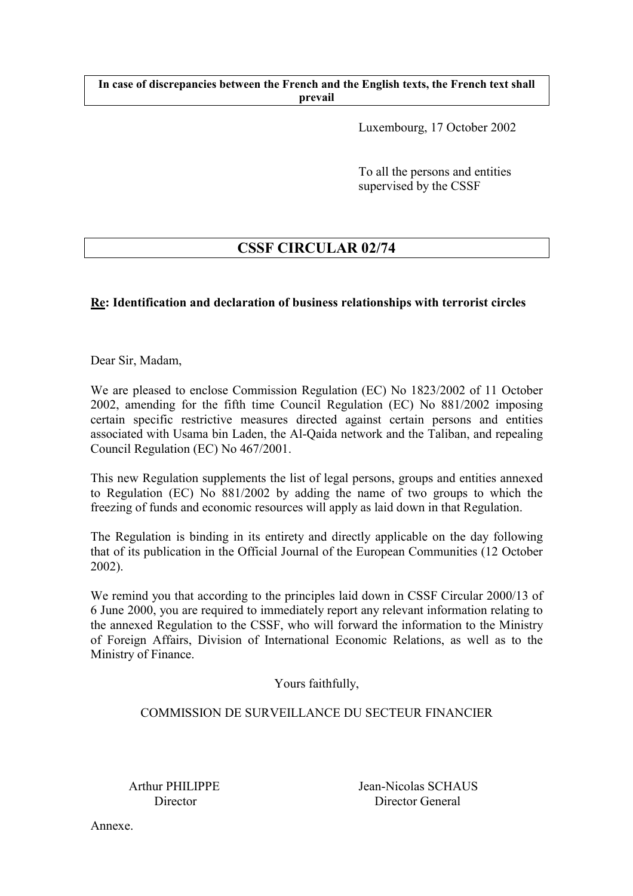**In case of discrepancies between the French and the English texts, the French text shall prevail** 

Luxembourg, 17 October 2002

To all the persons and entities supervised by the CSSF

# **CSSF CIRCULAR 02/74**

# **Re: Identification and declaration of business relationships with terrorist circles**

Dear Sir, Madam,

We are pleased to enclose Commission Regulation (EC) No 1823/2002 of 11 October 2002, amending for the fifth time Council Regulation (EC) No 881/2002 imposing certain specific restrictive measures directed against certain persons and entities associated with Usama bin Laden, the Al-Qaida network and the Taliban, and repealing Council Regulation (EC) No 467/2001.

This new Regulation supplements the list of legal persons, groups and entities annexed to Regulation (EC) No 881/2002 by adding the name of two groups to which the freezing of funds and economic resources will apply as laid down in that Regulation.

The Regulation is binding in its entirety and directly applicable on the day following that of its publication in the Official Journal of the European Communities (12 October 2002).

We remind you that according to the principles laid down in CSSF Circular 2000/13 of 6 June 2000, you are required to immediately report any relevant information relating to the annexed Regulation to the CSSF, who will forward the information to the Ministry of Foreign Affairs, Division of International Economic Relations, as well as to the Ministry of Finance.

Yours faithfully,

# COMMISSION DE SURVEILLANCE DU SECTEUR FINANCIER

Arthur PHILIPPE Jean-Nicolas SCHAUS Director Director General

Annexe.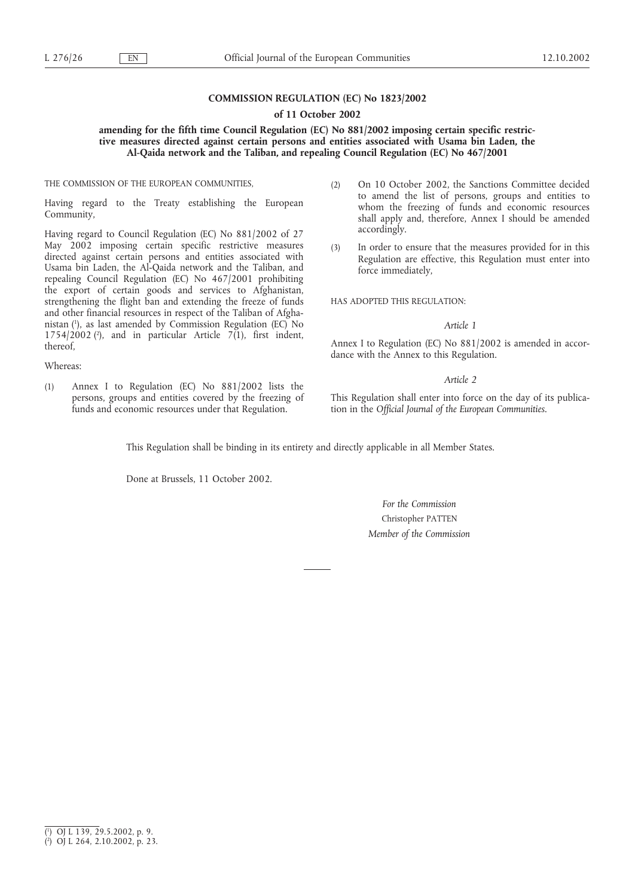### **COMMISSION REGULATION (EC) No 1823/2002**

#### **of 11 October 2002**

### **amending for the fifth time Council Regulation (EC) No 881/2002 imposing certain specific restrictive measures directed against certain persons and entities associated with Usama bin Laden, the Al-Qaida network and the Taliban, and repealing Council Regulation (EC) No 467/2001**

THE COMMISSION OF THE EUROPEAN COMMUNITIES,

Having regard to the Treaty establishing the European Community,

Having regard to Council Regulation (EC) No 881/2002 of 27 May 2002 imposing certain specific restrictive measures directed against certain persons and entities associated with Usama bin Laden, the Al-Qaida network and the Taliban, and repealing Council Regulation (EC) No 467/2001 prohibiting the export of certain goods and services to Afghanistan, strengthening the flight ban and extending the freeze of funds and other financial resources in respect of the Taliban of Afghanistan (1 ), as last amended by Commission Regulation (EC) No 1754/2002 ( $\degree$ ), and in particular Article 7(1), first indent, thereof,

Whereas:

(1) Annex I to Regulation (EC) No 881/2002 lists the persons, groups and entities covered by the freezing of funds and economic resources under that Regulation.

- (2) On 10 October 2002, the Sanctions Committee decided to amend the list of persons, groups and entities to whom the freezing of funds and economic resources shall apply and, therefore, Annex I should be amended accordingly.
- (3) In order to ensure that the measures provided for in this Regulation are effective, this Regulation must enter into force immediately,

HAS ADOPTED THIS REGULATION:

#### *Article 1*

Annex I to Regulation (EC) No 881/2002 is amended in accordance with the Annex to this Regulation.

#### *Article 2*

This Regulation shall enter into force on the day of its publication in the *Official Journal of the European Communities*.

This Regulation shall be binding in its entirety and directly applicable in all Member States.

Done at Brussels, 11 October 2002.

*For the Commission* Christopher PATTEN *Member of the Commission*

<sup>(</sup> 1 ) OJ L 139, 29.5.2002, p. 9.

<sup>(</sup> 2 ) OJ L 264, 2.10.2002, p. 23.